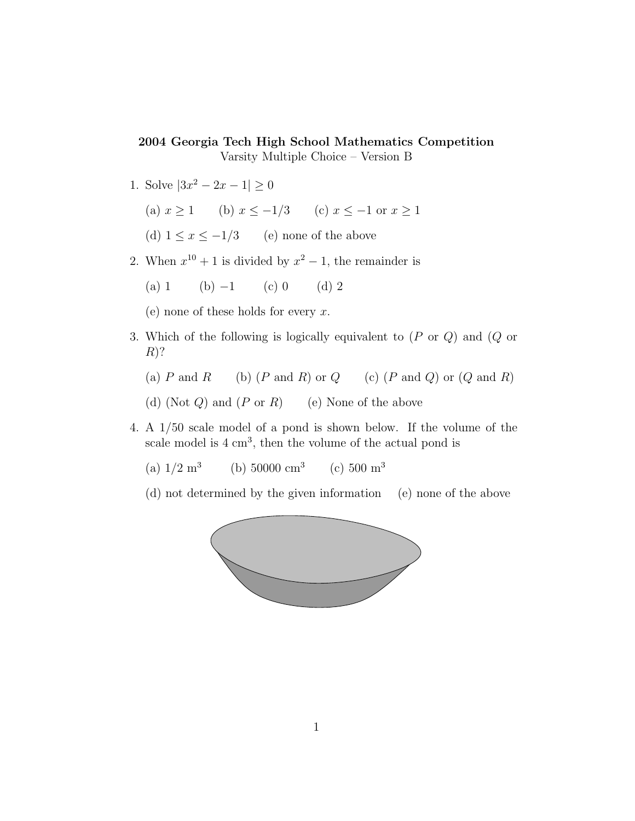## 2004 Georgia Tech High School Mathematics Competition

Varsity Multiple Choice – Version B

- 1. Solve  $|3x^2 2x 1| \ge 0$ 
	- (a)  $x \ge 1$  (b)  $x \le -1/3$  (c)  $x \le -1$  or  $x \ge 1$
	- (d)  $1 \le x \le -1/3$  (e) none of the above
- 2. When  $x^{10} + 1$  is divided by  $x^2 1$ , the remainder is
	- (a) 1 (b)  $-1$  (c) 0 (d) 2

(e) none of these holds for every  $x$ .

- 3. Which of the following is logically equivalent to (P or Q) and (Q or  $R$ ?
	- (a)  $P$  and  $R$  (b)  $(P \text{ and } R)$  or  $Q$  (c)  $(P \text{ and } Q)$  or  $(Q \text{ and } R)$
	- (d) (Not  $Q$ ) and  $(P \text{ or } R)$  (e) None of the above
- 4. A 1/50 scale model of a pond is shown below. If the volume of the scale model is  $4 \text{ cm}^3$ , then the volume of the actual pond is
	- (a)  $1/2 \text{ m}^3$ (b)  $50000 \text{ cm}^3$ (c)  $500 \text{ m}^3$
	- (d) not determined by the given information (e) none of the above

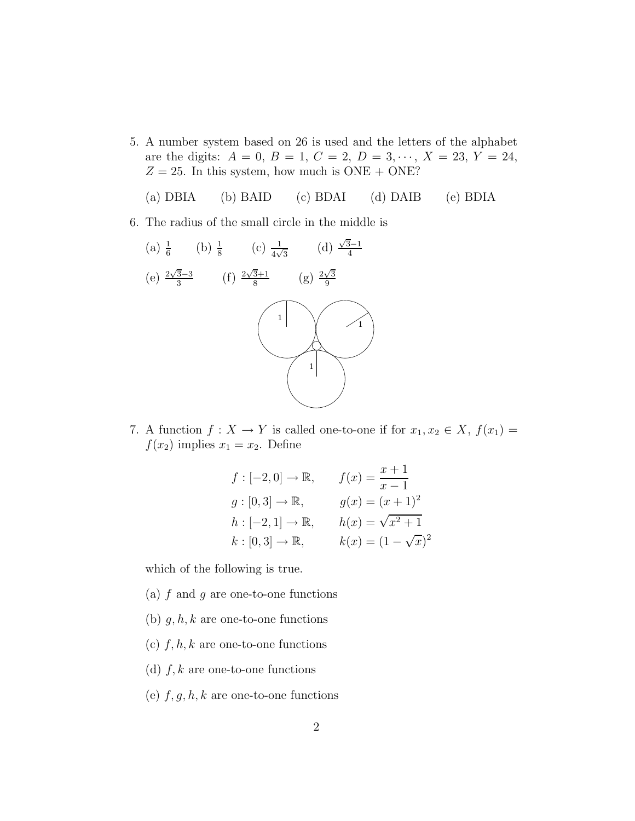5. A number system based on 26 is used and the letters of the alphabet are the digits:  $A = 0$ ,  $B = 1$ ,  $C = 2$ ,  $D = 3, \dots, X = 23, Y = 24$ ,  $Z = 25$ . In this system, how much is ONE + ONE?

(a) DBIA (b) BAID (c) BDAI (d) DAIB (e) BDIA

6. The radius of the small circle in the middle is



7. A function  $f: X \to Y$  is called one-to-one if for  $x_1, x_2 \in X$ ,  $f(x_1) =$  $f(x_2)$  implies  $x_1 = x_2$ . Define

$$
f: [-2, 0] \to \mathbb{R}, \qquad f(x) = \frac{x+1}{x-1}
$$
  
\n
$$
g: [0, 3] \to \mathbb{R}, \qquad g(x) = (x+1)^2
$$
  
\n
$$
h: [-2, 1] \to \mathbb{R}, \qquad h(x) = \sqrt{x^2 + 1}
$$
  
\n
$$
k: [0, 3] \to \mathbb{R}, \qquad k(x) = (1 - \sqrt{x})^2
$$

which of the following is true.

- (a)  $f$  and  $g$  are one-to-one functions
- (b)  $g, h, k$  are one-to-one functions
- (c)  $f, h, k$  are one-to-one functions
- (d)  $f, k$  are one-to-one functions
- (e)  $f, g, h, k$  are one-to-one functions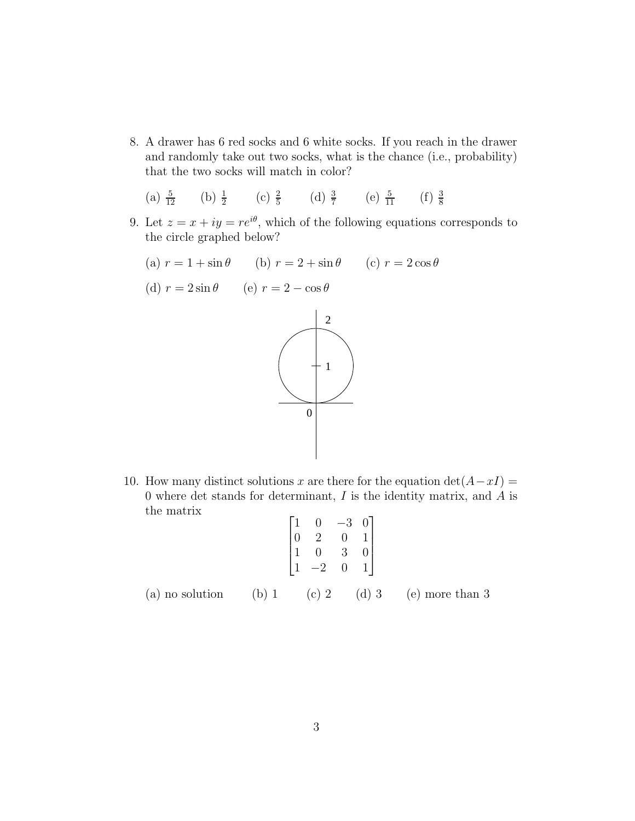8. A drawer has 6 red socks and 6 white socks. If you reach in the drawer and randomly take out two socks, what is the chance (i.e., probability) that the two socks will match in color?

(a) 
$$
\frac{5}{12}
$$
 (b)  $\frac{1}{2}$  (c)  $\frac{2}{5}$  (d)  $\frac{3}{7}$  (e)  $\frac{5}{11}$  (f)  $\frac{3}{8}$ 

- 9. Let  $z = x + iy = re^{i\theta}$ , which of the following equations corresponds to the circle graphed below?
	- (a)  $r = 1 + \sin \theta$  (b)  $r = 2 + \sin \theta$  (c)  $r = 2 \cos \theta$

(d) 
$$
r = 2\sin\theta
$$
 (e)  $r = 2 - \cos\theta$ 



10. How many distinct solutions x are there for the equation  $\det(A-xI) =$ 0 where det stands for determinant,  $I$  is the identity matrix, and  $A$  is the matrix

$$
\begin{bmatrix} 1 & 0 & -3 & 0 \ 0 & 2 & 0 & 1 \ 1 & 0 & 3 & 0 \ 1 & -2 & 0 & 1 \end{bmatrix}
$$
  
(a) no solution (b) 1 (c) 2 (d) 3 (e) more than 3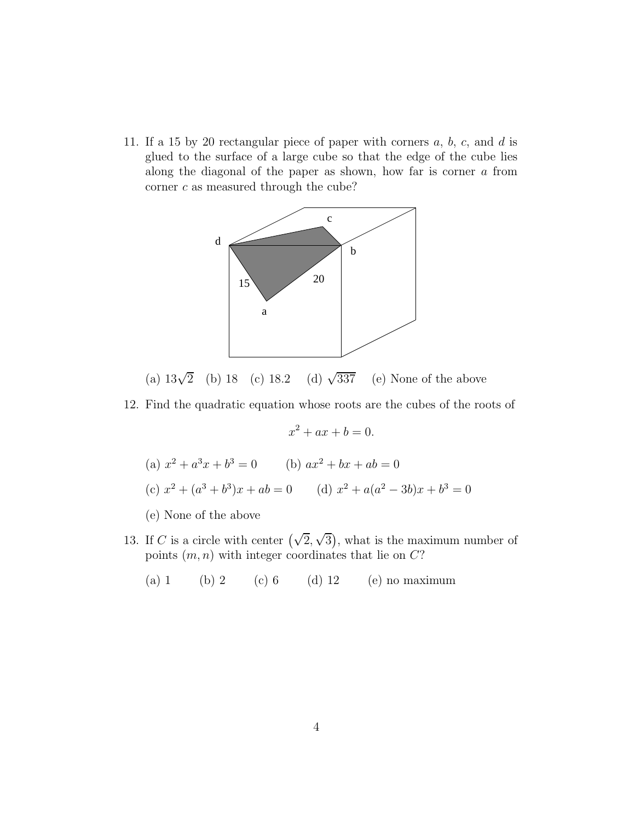11. If a 15 by 20 rectangular piece of paper with corners  $a, b, c,$  and  $d$  is glued to the surface of a large cube so that the edge of the cube lies along the diagonal of the paper as shown, how far is corner a from corner  $c$  as measured through the cube?



(a)  $13\sqrt{2}$  (b) 18 (c) 18.2 (d)  $\sqrt{2}$ (d)  $\sqrt{337}$  (e) None of the above

12. Find the quadratic equation whose roots are the cubes of the roots of

$$
x^2 + ax + b = 0.
$$

(a) 
$$
x^2 + a^3x + b^3 = 0
$$
 (b)  $ax^2 + bx + ab = 0$   
(c)  $x^2 + (a^3 + b^3)x + ab = 0$  (d)  $x^2 + a(a^2 - 3b)x + b^3 = 0$ 

- (e) None of the above
- 13. If C is a circle with center  $(\sqrt{2}, \sqrt{3})$ , what is the maximum number of points  $(m, n)$  with integer coordinates that lie on  $C$ ?
	- (a) 1 (b) 2 (c) 6 (d) 12 (e) no maximum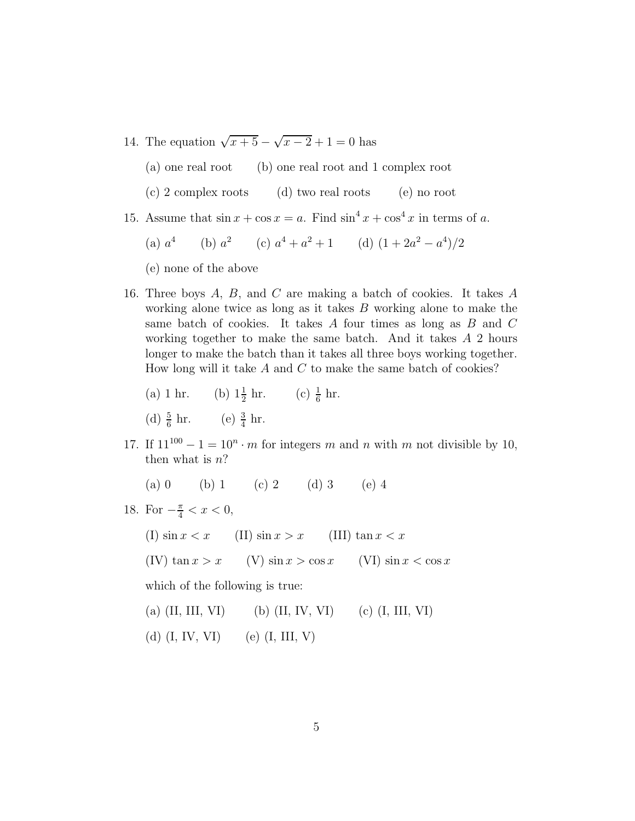14. The equation  $\sqrt{x+5} - \sqrt{x-2} + 1 = 0$  has

(a) one real root (b) one real root and 1 complex root

(c) 2 complex roots (d) two real roots (e) no root

15. Assume that  $\sin x + \cos x = a$ . Find  $\sin^4 x + \cos^4 x$  in terms of a.

(a) 
$$
a^4
$$
 (b)  $a^2$  (c)  $a^4 + a^2 + 1$  (d)  $(1 + 2a^2 - a^4)/2$ 

- (e) none of the above
- 16. Three boys A, B, and C are making a batch of cookies. It takes A working alone twice as long as it takes B working alone to make the same batch of cookies. It takes A four times as long as B and C working together to make the same batch. And it takes A 2 hours longer to make the batch than it takes all three boys working together. How long will it take A and C to make the same batch of cookies?

(a) 1 hr. (b) 
$$
1\frac{1}{2}
$$
 hr. (c)  $\frac{1}{6}$  hr.  
(d)  $\frac{5}{6}$  hr. (e)  $\frac{3}{4}$  hr.

- 17. If  $11^{100} 1 = 10^n \cdot m$  for integers m and n with m not divisible by 10, then what is  $n$ ?
	- (a) 0 (b) 1 (c) 2 (d) 3 (e) 4
- 18. For  $-\frac{\pi}{4} < x < 0$ ,
	- (I)  $\sin x < x$  (II)  $\sin x > x$  (III)  $\tan x < x$ (IV)  $\tan x > x$  (V)  $\sin x > \cos x$  (VI)  $\sin x < \cos x$

which of the following is true:

- (a)  $(II, III, VI)$  (b)  $(II, IV, VI)$  (c)  $(I, III, VI)$
- (d)  $(I, IV, VI)$  (e)  $(I, III, V)$